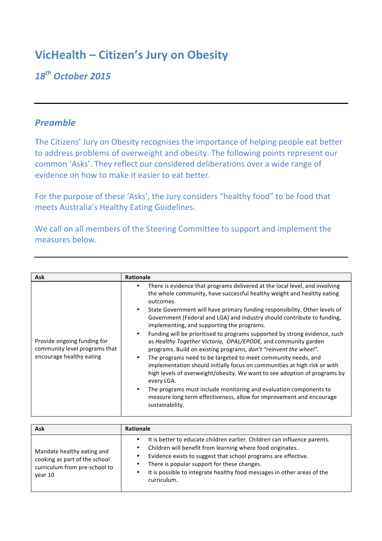## **VicHealth - Citizen's Jury on Obesity**

## *18th October 2015*

## *Preamble*

The Citizens' Jury on Obesity recognises the importance of helping people eat better to address problems of overweight and obesity. The following points represent our common 'Asks'. They reflect our considered deliberations over a wide range of evidence on how to make it easier to eat better.

For the purpose of these 'Asks', the Jury considers "healthy food" to be food that meets Australia's Healthy Eating Guidelines.

We call on all members of the Steering Committee to support and implement the measures below.

| <b>Ask</b>                                                                               | <b>Rationale</b>                                                                                                                                                                                                                                                                                                                                                                                                                                                                                                                                                                                                                                                                                                                                                                                                                                                                                                                                                                                        |
|------------------------------------------------------------------------------------------|---------------------------------------------------------------------------------------------------------------------------------------------------------------------------------------------------------------------------------------------------------------------------------------------------------------------------------------------------------------------------------------------------------------------------------------------------------------------------------------------------------------------------------------------------------------------------------------------------------------------------------------------------------------------------------------------------------------------------------------------------------------------------------------------------------------------------------------------------------------------------------------------------------------------------------------------------------------------------------------------------------|
| Provide ongoing funding for<br>community level programs that<br>encourage healthy eating | There is evidence that programs delivered at the local level, and involving<br>the whole community, have successful healthy weight and healthy eating<br>outcomes.<br>State Government will have primary funding responsibility. Other levels of<br>Government (Federal and LGA) and industry should contribute to funding,<br>implementing, and supporting the programs.<br>Funding will be prioritised to programs supported by strong evidence, such<br>as Healthy Together Victoria, OPAL/EPODE, and community garden<br>programs. Build on existing programs, don't "reinvent the wheel".<br>The programs need to be targeted to meet community needs, and<br>implementation should initially focus on communities at high risk or with<br>high levels of overweight/obesity. We want to see adoption of programs by<br>every LGA.<br>The programs must include monitoring and evaluation components to<br>measure long term effectiveness, allow for improvement and encourage<br>sustainability. |

| <b>Ask</b>                                                                                              | <b>Rationale</b>                                                                                                                                                                                                                                                                                                                                  |
|---------------------------------------------------------------------------------------------------------|---------------------------------------------------------------------------------------------------------------------------------------------------------------------------------------------------------------------------------------------------------------------------------------------------------------------------------------------------|
| Mandate healthy eating and<br>cooking as part of the school<br>curriculum from pre-school to<br>year 10 | It is better to educate children earlier. Children can influence parents.<br>Children will benefit from learning where food originates<br>Evidence exists to suggest that school programs are effective.<br>There is popular support for these changes.<br>It is possible to integrate healthy food messages in other areas of the<br>curriculum. |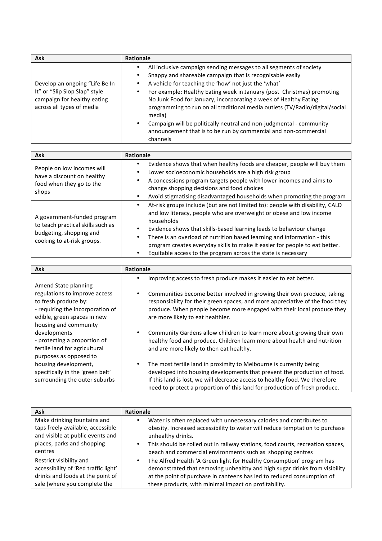| <b>Ask</b>                                                                                                                  | <b>Rationale</b>                                                                                                                                                                                                                                                                                                                                                                                                                                                                                                                                                                      |
|-----------------------------------------------------------------------------------------------------------------------------|---------------------------------------------------------------------------------------------------------------------------------------------------------------------------------------------------------------------------------------------------------------------------------------------------------------------------------------------------------------------------------------------------------------------------------------------------------------------------------------------------------------------------------------------------------------------------------------|
| Develop an ongoing "Life Be In<br>It" or "Slip Slop Slap" style<br>campaign for healthy eating<br>across all types of media | All inclusive campaign sending messages to all segments of society<br>Snappy and shareable campaign that is recognisable easily<br>A vehicle for teaching the 'how' not just the 'what'<br>For example: Healthy Eating week in January (post Christmas) promoting<br>No Junk Food for January, incorporating a week of Healthy Eating<br>programming to run on all traditional media outlets (TV/Radio/digital/social<br>media)<br>Campaign will be politically neutral and non-judgmental - community<br>announcement that is to be run by commercial and non-commercial<br>channels |

| <b>Ask</b>                                                                                                                | <b>Rationale</b>                                                                                                                                                                                                                                                                                                                                                                                                                                                     |
|---------------------------------------------------------------------------------------------------------------------------|----------------------------------------------------------------------------------------------------------------------------------------------------------------------------------------------------------------------------------------------------------------------------------------------------------------------------------------------------------------------------------------------------------------------------------------------------------------------|
| People on low incomes will<br>have a discount on healthy<br>food when they go to the<br>shops                             | Evidence shows that when healthy foods are cheaper, people will buy them<br>Lower socioeconomic households are a high risk group<br>A concessions program targets people with lower incomes and aims to<br>change shopping decisions and food choices<br>Avoid stigmatising disadvantaged households when promoting the program                                                                                                                                      |
| A government-funded program<br>to teach practical skills such as<br>budgeting, shopping and<br>cooking to at-risk groups. | At-risk groups include (but are not limited to): people with disability, CALD<br>and low literacy, people who are overweight or obese and low income<br>households<br>Evidence shows that skills-based learning leads to behaviour change<br>There is an overload of nutrition based learning and information - this<br>program creates everyday skills to make it easier for people to eat better.<br>Equitable access to the program across the state is necessary |

| <b>Ask</b>                                                                                                                                        | <b>Rationale</b>                                                                                                                                                                                                                                                                                            |
|---------------------------------------------------------------------------------------------------------------------------------------------------|-------------------------------------------------------------------------------------------------------------------------------------------------------------------------------------------------------------------------------------------------------------------------------------------------------------|
| Amend State planning                                                                                                                              | Improving access to fresh produce makes it easier to eat better.                                                                                                                                                                                                                                            |
| regulations to improve access<br>to fresh produce by:<br>- requiring the incorporation of<br>edible, green spaces in new<br>housing and community | Communities become better involved in growing their own produce, taking<br>٠<br>responsibility for their green spaces, and more appreciative of the food they<br>produce. When people become more engaged with their local produce they<br>are more likely to eat healthier.                                |
| developments<br>- protecting a proportion of<br>fertile land for agricultural<br>purposes as opposed to                                           | Community Gardens allow children to learn more about growing their own<br>healthy food and produce. Children learn more about health and nutrition<br>and are more likely to then eat healthy.                                                                                                              |
| housing development,<br>specifically in the 'green belt'<br>surrounding the outer suburbs                                                         | The most fertile land in proximity to Melbourne is currently being<br>developed into housing developments that prevent the production of food.<br>If this land is lost, we will decrease access to healthy food. We therefore<br>need to protect a proportion of this land for production of fresh produce. |

| Ask                                  | Rationale                                                                      |
|--------------------------------------|--------------------------------------------------------------------------------|
| Make drinking fountains and          | Water is often replaced with unnecessary calories and contributes to           |
| taps freely available, accessible    | obesity. Increased accessibility to water will reduce temptation to purchase   |
| and visible at public events and     | unhealthy drinks.                                                              |
| places, parks and shopping           | This should be rolled out in railway stations, food courts, recreation spaces, |
| centres                              | beach and commercial environments such as shopping centres                     |
| Restrict visibility and              | The Alfred Health 'A Green light for Healthy Consumption' program has          |
| accessibility of 'Red traffic light' | demonstrated that removing unhealthy and high sugar drinks from visibility     |
| drinks and foods at the point of     | at the point of purchase in canteens has led to reduced consumption of         |
| sale (where you complete the         | these products, with minimal impact on profitability.                          |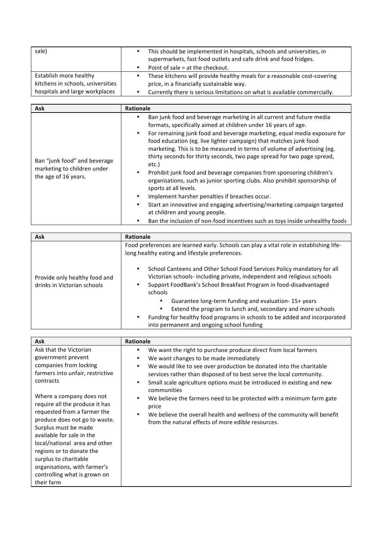| sale)                                                               | This should be implemented in hospitals, schools and universities, in<br>supermarkets, fast food outlets and cafe drink and food fridges.<br>Point of sale = at the checkout. |
|---------------------------------------------------------------------|-------------------------------------------------------------------------------------------------------------------------------------------------------------------------------|
| Establish more healthy                                              | These kitchens will provide healthy meals for a reasonable cost-covering                                                                                                      |
| kitchens in schools, universities<br>hospitals and large workplaces | price, in a financially sustainable way.<br>Currently there is serious limitations on what is available commercially.                                                         |

| Ask                                                                                 | <b>Rationale</b>                                                                                                                                                                                                                                                                                                                                                                                                                                                                                                                                                                                                                                                                                                                                                                                                                                                                      |
|-------------------------------------------------------------------------------------|---------------------------------------------------------------------------------------------------------------------------------------------------------------------------------------------------------------------------------------------------------------------------------------------------------------------------------------------------------------------------------------------------------------------------------------------------------------------------------------------------------------------------------------------------------------------------------------------------------------------------------------------------------------------------------------------------------------------------------------------------------------------------------------------------------------------------------------------------------------------------------------|
| Ban "junk food" and beverage<br>marketing to children under<br>the age of 16 years. | Ban junk food and beverage marketing in all current and future media<br>formats, specifically aimed at children under 16 years of age.<br>For remaining junk food and beverage marketing, equal media exposure for<br>food education (eg. live lighter campaign) that matches junk food<br>marketing. This is to be measured in terms of volume of advertising (eg.<br>thirty seconds for thirty seconds, two page spread for two page spread,<br>etc.)<br>Prohibit junk food and beverage companies from sponsoring children's<br>organisations, such as junior sporting clubs. Also prohibit sponsorship of<br>sports at all levels.<br>Implement harsher penalties if breaches occur.<br>Start an innovative and engaging advertising/marketing campaign targeted<br>at children and young people.<br>Ban the inclusion of non-food incentives such as toys inside unhealthy foods |

| Ask                                                          | Rationale                                                                                                                                                                                                                                                                                                                                                                                                                                                                                |
|--------------------------------------------------------------|------------------------------------------------------------------------------------------------------------------------------------------------------------------------------------------------------------------------------------------------------------------------------------------------------------------------------------------------------------------------------------------------------------------------------------------------------------------------------------------|
|                                                              | Food preferences are learned early. Schools can play a vital role in establishing life-<br>long healthy eating and lifestyle preferences.                                                                                                                                                                                                                                                                                                                                                |
| Provide only healthy food and<br>drinks in Victorian schools | School Canteens and Other School Food Services Policy mandatory for all<br>Victorian schools- including private, independent and religious schools<br>Support FoodBank's School Breakfast Program in food-disadvantaged<br>schools<br>Guarantee long-term funding and evaluation-15+ years<br>٠<br>Extend the program to lunch and, secondary and more schools<br>Funding for healthy food programs in schools to be added and incorporated<br>into permanent and ongoing school funding |

| <b>Ask</b>                                                                                                                                                                                                                                                                                                                                                                                                                                                                     | <b>Rationale</b>                                                                                                                                                                                                                                                                                                                                                                                                                                                                                                                                                                                          |
|--------------------------------------------------------------------------------------------------------------------------------------------------------------------------------------------------------------------------------------------------------------------------------------------------------------------------------------------------------------------------------------------------------------------------------------------------------------------------------|-----------------------------------------------------------------------------------------------------------------------------------------------------------------------------------------------------------------------------------------------------------------------------------------------------------------------------------------------------------------------------------------------------------------------------------------------------------------------------------------------------------------------------------------------------------------------------------------------------------|
| Ask that the Victorian<br>government prevent<br>companies from locking<br>farmers into unfair, restrictive<br>contracts<br>Where a company does not<br>require all the produce it has<br>requested from a farmer the<br>produce does not go to waste.<br>Surplus must be made<br>available for sale in the<br>local/national area and other<br>regions or to donate the<br>surplus to charitable<br>organisations, with farmer's<br>controlling what is grown on<br>their farm | We want the right to purchase produce direct from local farmers<br>٠<br>We want changes to be made immediately<br>٠<br>We would like to see over production be donated into the charitable<br>$\bullet$<br>services rather than disposed of to best serve the local community.<br>Small scale agriculture options must be introduced in existing and new<br>٠<br>communities<br>We believe the farmers need to be protected with a minimum farm gate<br>٠<br>price<br>We believe the overall health and wellness of the community will benefit<br>٠<br>from the natural effects of more edible resources. |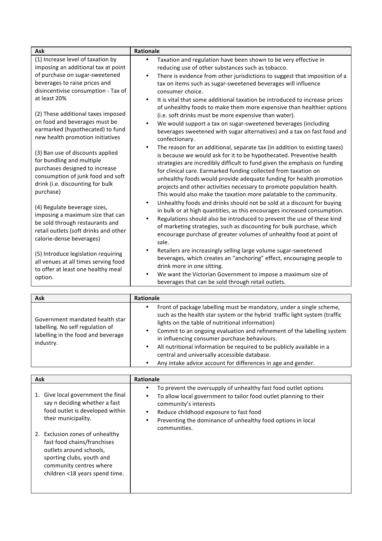| Ask                                                                                                                                                                                   | Rationale                                                                                                                                                                                                                                                                                                                                                                                                                                                                                                                             |
|---------------------------------------------------------------------------------------------------------------------------------------------------------------------------------------|---------------------------------------------------------------------------------------------------------------------------------------------------------------------------------------------------------------------------------------------------------------------------------------------------------------------------------------------------------------------------------------------------------------------------------------------------------------------------------------------------------------------------------------|
| (1) Increase level of taxation by<br>imposing an additional tax at point                                                                                                              | Taxation and regulation have been shown to be very effective in<br>reducing use of other substances such as tobacco.                                                                                                                                                                                                                                                                                                                                                                                                                  |
| of purchase on sugar-sweetened<br>beverages to raise prices and<br>disincentivise consumption - Tax of                                                                                | There is evidence from other jurisdictions to suggest that imposition of a<br>$\bullet$<br>tax on items such as sugar-sweetened beverages will influence<br>consumer choice.                                                                                                                                                                                                                                                                                                                                                          |
| at least 20%<br>(2) These additional taxes imposed                                                                                                                                    | It is vital that some additional taxation be introduced to increase prices<br>of unhealthy foods to make them more expensive than healthier options<br>(i.e. soft drinks must be more expensive than water).                                                                                                                                                                                                                                                                                                                          |
| on food and beverages must be<br>earmarked (hypothecated) to fund<br>new health promotion initiatives                                                                                 | We would support a tax on sugar-sweetened beverages (including<br>beverages sweetened with sugar alternatives) and a tax on fast food and<br>confectionary.                                                                                                                                                                                                                                                                                                                                                                           |
| (3) Ban use of discounts applied<br>for bundling and multiple<br>purchases designed to increase<br>consumption of junk food and soft<br>drink (i.e. discounting for bulk<br>purchase) | The reason for an additional, separate tax (in addition to existing taxes)<br>$\bullet$<br>is because we would ask for it to be hypothecated. Preventive health<br>strategies are incredibly difficult to fund given the emphasis on funding<br>for clinical care. Earmarked funding collected from taxation on<br>unhealthy foods would provide adequate funding for health promotion<br>projects and other activities necessary to promote population health.<br>This would also make the taxation more palatable to the community. |
| (4) Regulate beverage sizes,<br>imposing a maximum size that can<br>be sold through restaurants and<br>retail outlets (soft drinks and other<br>calorie-dense beverages)              | Unhealthy foods and drinks should not be sold at a discount for buying<br>$\bullet$<br>in bulk or at high quantities, as this encourages increased consumption.<br>Regulations should also be introduced to prevent the use of these kind<br>$\bullet$<br>of marketing strategies, such as discounting for bulk purchase, which<br>encourage purchase of greater volumes of unhealthy food at point of<br>sale.                                                                                                                       |
| (5) Introduce legislation requiring<br>all venues at all times serving food<br>to offer at least one healthy meal<br>option.                                                          | Retailers are increasingly selling large volume sugar-sweetened<br>٠<br>beverages, which creates an "anchoring" effect, encouraging people to<br>drink more in one sitting.<br>We want the Victorian Government to impose a maximum size of<br>beverages that can be sold through retail outlets.                                                                                                                                                                                                                                     |

| <b>Ask</b>                                                                                                             | <b>Rationale</b>                                                                                                                                                                                                                                                                                                                                                                                              |
|------------------------------------------------------------------------------------------------------------------------|---------------------------------------------------------------------------------------------------------------------------------------------------------------------------------------------------------------------------------------------------------------------------------------------------------------------------------------------------------------------------------------------------------------|
| Government mandated health star<br>labelling. No self regulation of<br>labelling in the food and beverage<br>industry. | Front of package labelling must be mandatory, under a single scheme,<br>such as the health star system or the hybrid traffic light system (traffic<br>lights on the table of nutritional information)<br>Commit to an ongoing evaluation and refinement of the labelling system<br>in influencing consumer purchase behaviours.<br>All nutritional information be required to be publicly available in a<br>٠ |
|                                                                                                                        | central and universally accessible database.                                                                                                                                                                                                                                                                                                                                                                  |
|                                                                                                                        | Any intake advice account for differences in age and gender.                                                                                                                                                                                                                                                                                                                                                  |

| Ask                                                                                                                                                                                                                                                                                                                     | <b>Rationale</b>                                                                                                                                                                                                                                                                            |
|-------------------------------------------------------------------------------------------------------------------------------------------------------------------------------------------------------------------------------------------------------------------------------------------------------------------------|---------------------------------------------------------------------------------------------------------------------------------------------------------------------------------------------------------------------------------------------------------------------------------------------|
| Give local government the final<br>1.<br>say n deciding whether a fast<br>food outlet is developed within<br>their municipality.<br>2. Exclusion zones of unhealthy<br>fast food chains/franchises<br>outlets around schools,<br>sporting clubs, youth and<br>community centres where<br>children <18 years spend time. | To prevent the oversupply of unhealthy fast food outlet options<br>To allow local government to tailor food outlet planning to their<br>community's interests<br>Reduce childhood exposure to fast food<br>Preventing the dominance of unhealthy food options in local<br>٠<br>communities. |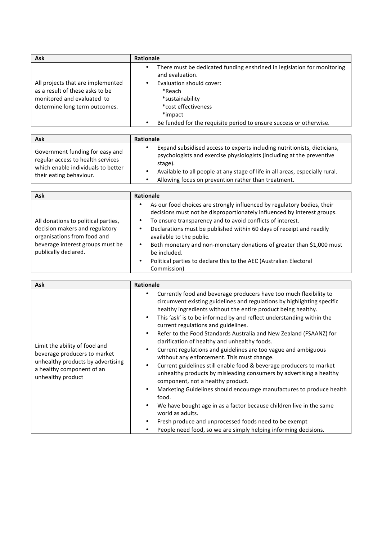| <b>Ask</b>                        | <b>Rationale</b>                                                                           |
|-----------------------------------|--------------------------------------------------------------------------------------------|
|                                   | There must be dedicated funding enshrined in legislation for monitoring<br>and evaluation. |
| All projects that are implemented | Evaluation should cover:                                                                   |
| as a result of these asks to be   | *Reach                                                                                     |
| monitored and evaluated to        | *sustainability                                                                            |
| determine long term outcomes.     | *cost effectiveness                                                                        |
|                                   | *impact                                                                                    |
|                                   | Be funded for the requisite period to ensure success or otherwise.                         |

| <b>Ask</b>                                                                                                                            | <b>Rationale</b>                                                                                                                                                                                                                                                                                    |
|---------------------------------------------------------------------------------------------------------------------------------------|-----------------------------------------------------------------------------------------------------------------------------------------------------------------------------------------------------------------------------------------------------------------------------------------------------|
| Government funding for easy and<br>regular access to health services<br>which enable individuals to better<br>their eating behaviour. | Expand subsidised access to experts including nutritionists, dieticians,<br>psychologists and exercise physiologists (including at the preventive<br>stage).<br>Available to all people at any stage of life in all areas, especially rural.<br>Allowing focus on prevention rather than treatment. |

| <b>Ask</b>                                                                                           | <b>Rationale</b>                                                                                                                                                                                                                                                                                                          |
|------------------------------------------------------------------------------------------------------|---------------------------------------------------------------------------------------------------------------------------------------------------------------------------------------------------------------------------------------------------------------------------------------------------------------------------|
| All donations to political parties,<br>decision makers and regulatory<br>organisations from food and | As our food choices are strongly influenced by regulatory bodies, their<br>٠<br>decisions must not be disproportionately influenced by interest groups.<br>To ensure transparency and to avoid conflicts of interest.<br>Declarations must be published within 60 days of receipt and readily<br>available to the public. |
| beverage interest groups must be<br>publically declared.                                             | Both monetary and non-monetary donations of greater than \$1,000 must<br>be included.<br>Political parties to declare this to the AEC (Australian Electoral<br>$\bullet$<br>Commission)                                                                                                                                   |

| <b>Ask</b>                                                                                                                                           | Rationale                                                                                                                                                                                                                                                                                                                                                                                                                                                                                                                                                                                                                                                                                                                                                                                                                                                                                                                                                                                                                                                                                 |
|------------------------------------------------------------------------------------------------------------------------------------------------------|-------------------------------------------------------------------------------------------------------------------------------------------------------------------------------------------------------------------------------------------------------------------------------------------------------------------------------------------------------------------------------------------------------------------------------------------------------------------------------------------------------------------------------------------------------------------------------------------------------------------------------------------------------------------------------------------------------------------------------------------------------------------------------------------------------------------------------------------------------------------------------------------------------------------------------------------------------------------------------------------------------------------------------------------------------------------------------------------|
| Limit the ability of food and<br>beverage producers to market<br>unhealthy products by advertising<br>a healthy component of an<br>unhealthy product | Currently food and beverage producers have too much flexibility to<br>circumvent existing guidelines and regulations by highlighting specific<br>healthy ingredients without the entire product being healthy.<br>This 'ask' is to be informed by and reflect understanding within the<br>$\bullet$<br>current regulations and guidelines.<br>Refer to the Food Standards Australia and New Zealand (FSAANZ) for<br>$\bullet$<br>clarification of healthy and unhealthy foods.<br>Current regulations and guidelines are too vague and ambiguous<br>without any enforcement. This must change.<br>Current guidelines still enable food & beverage producers to market<br>unhealthy products by misleading consumers by advertising a healthy<br>component, not a healthy product.<br>Marketing Guidelines should encourage manufactures to produce health<br>food.<br>We have bought age in as a factor because children live in the same<br>world as adults.<br>Fresh produce and unprocessed foods need to be exempt<br>People need food, so we are simply helping informing decisions. |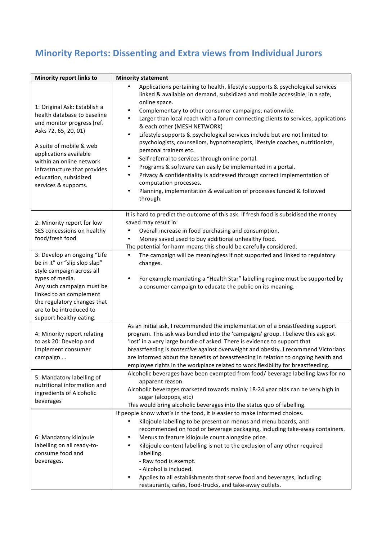## **Minority Reports: Dissenting and Extra views from Individual Jurors**

| <b>Minority report links to</b>                                                                                                                                                                                                                                                     | <b>Minority statement</b>                                                                                                                                                                                                                                                                                                                                                                                                                                                                                                                                                                                                                                                                                                                                                                                                                                                                                      |
|-------------------------------------------------------------------------------------------------------------------------------------------------------------------------------------------------------------------------------------------------------------------------------------|----------------------------------------------------------------------------------------------------------------------------------------------------------------------------------------------------------------------------------------------------------------------------------------------------------------------------------------------------------------------------------------------------------------------------------------------------------------------------------------------------------------------------------------------------------------------------------------------------------------------------------------------------------------------------------------------------------------------------------------------------------------------------------------------------------------------------------------------------------------------------------------------------------------|
| 1: Original Ask: Establish a<br>health database to baseline<br>and monitor progress (ref.<br>Asks 72, 65, 20, 01)<br>A suite of mobile & web<br>applications available<br>within an online network<br>infrastructure that provides<br>education, subsidized<br>services & supports. | Applications pertaining to health, lifestyle supports & psychological services<br>linked & available on demand, subsidized and mobile accessible; in a safe,<br>online space.<br>Complementary to other consumer campaigns; nationwide.<br>Larger than local reach with a forum connecting clients to services, applications<br>$\bullet$<br>& each other (MESH NETWORK)<br>Lifestyle supports & psychological services include but are not limited to:<br>$\bullet$<br>psychologists, counsellors, hypnotherapists, lifestyle coaches, nutritionists,<br>personal trainers etc.<br>Self referral to services through online portal.<br>٠<br>Programs & software can easily be implemented in a portal.<br>Privacy & confidentiality is addressed through correct implementation of<br>computation processes.<br>Planning, implementation & evaluation of processes funded & followed<br>$\bullet$<br>through. |
| 2: Minority report for low<br>SES concessions on healthy<br>food/fresh food                                                                                                                                                                                                         | It is hard to predict the outcome of this ask. If fresh food is subsidised the money<br>saved may result in:<br>Overall increase in food purchasing and consumption.<br>Money saved used to buy additional unhealthy food.<br>The potential for harm means this should be carefully considered.                                                                                                                                                                                                                                                                                                                                                                                                                                                                                                                                                                                                                |
| 3: Develop an ongoing "Life<br>be in it" or "slip slop slap"<br>style campaign across all<br>types of media.<br>Any such campaign must be<br>linked to an complement<br>the regulatory changes that<br>are to be introduced to<br>support healthy eating.                           | The campaign will be meaningless if not supported and linked to regulatory<br>$\bullet$<br>changes.<br>For example mandating a "Health Star" labelling regime must be supported by<br>$\bullet$<br>a consumer campaign to educate the public on its meaning.                                                                                                                                                                                                                                                                                                                                                                                                                                                                                                                                                                                                                                                   |
| 4: Minority report relating<br>to ask 20: Develop and<br>implement consumer<br>campaign                                                                                                                                                                                             | As an initial ask, I recommended the implementation of a breastfeeding support<br>program. This ask was bundled into the 'campaigns' group. I believe this ask got<br>'lost' in a very large bundle of asked. There is evidence to support that<br>breastfeeding is protective against overweight and obesity. I recommend Victorians<br>are informed about the benefits of breastfeeding in relation to ongoing health and<br>employee rights in the workplace related to work flexibility for breastfeeding.                                                                                                                                                                                                                                                                                                                                                                                                 |
| 5: Mandatory labelling of<br>nutritional information and<br>ingredients of Alcoholic<br>beverages                                                                                                                                                                                   | Alcoholic beverages have been exempted from food/ beverage labelling laws for no<br>apparent reason.<br>Alcoholic beverages marketed towards mainly 18-24 year olds can be very high in<br>sugar (alcopops, etc)<br>This would bring alcoholic beverages into the status quo of labelling.                                                                                                                                                                                                                                                                                                                                                                                                                                                                                                                                                                                                                     |
| 6: Mandatory kilojoule<br>labelling on all ready-to-<br>consume food and<br>beverages.                                                                                                                                                                                              | If people know what's in the food, it is easier to make informed choices.<br>Kilojoule labelling to be present on menus and menu boards, and<br>recommended on food or beverage packaging, including take-away containers.<br>Menus to feature kilojoule count alongside price.<br>Kilojoule content labelling is not to the exclusion of any other required<br>$\bullet$<br>labelling.<br>- Raw food is exempt.<br>- Alcohol is included.<br>Applies to all establishments that serve food and beverages, including<br>restaurants, cafes, food-trucks, and take-away outlets.                                                                                                                                                                                                                                                                                                                                |